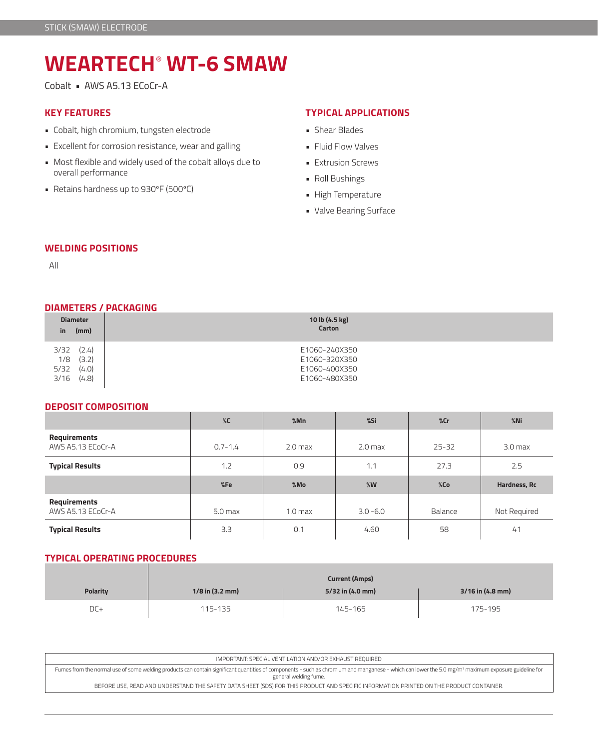# **WEARTECH**®  **WT-6 SMAW**

Cobalt • AWS A5.13 ECoCr-A

# **KEY FEATURES**

- Cobalt, high chromium, tungsten electrode
- Excellent for corrosion resistance, wear and galling
- Most flexible and widely used of the cobalt alloys due to overall performance
- Retains hardness up to 930ºF (500ºC)

## **TYPICAL APPLICATIONS**

- Shear Blades
- Fluid Flow Valves
- Extrusion Screws
- Roll Bushings
- High Temperature
- Valve Bearing Surface

## **WELDING POSITIONS**

All

#### **DIAMETERS / PACKAGING**

| <b>Diameter</b><br>(mm)<br>in |       | 10 lb (4.5 kg)<br>Carton |
|-------------------------------|-------|--------------------------|
| 3/32                          | (2.4) | E1060-240X350            |
| 1/8                           | (3.2) | E1060-320X350            |
| 5/32                          | (4.0) | E1060-400X350            |
| 3/16                          | (4.8) | E1060-480X350            |

#### **DEPOSIT COMPOSITION**

|                                   | $\%C$       | %Mn                | %Si                | %cr       | $%$ Ni             |
|-----------------------------------|-------------|--------------------|--------------------|-----------|--------------------|
| Requirements<br>AWS A5.13 ECoCr-A | $0.7 - 1.4$ | 2.0 <sub>max</sub> | 2.0 <sub>max</sub> | $25 - 32$ | 3.0 <sub>max</sub> |
| <b>Typical Results</b>            | 1.2         | 0.9                | 1.1                | 27.3      | 2.5                |
|                                   | %Fe         | %Mo                | %W                 | %Co       | Hardness, Rc       |
| Requirements<br>AWS A5.13 ECoCr-A |             |                    |                    |           |                    |
|                                   | $5.0$ max   | 1.0 <sub>max</sub> | $3.0 - 6.0$        | Balance   | Not Required       |

## **TYPICAL OPERATING PROCEDURES**

|                 | <b>Current (Amps)</b> |                  |                  |  |  |  |
|-----------------|-----------------------|------------------|------------------|--|--|--|
| <b>Polarity</b> | $1/8$ in (3.2 mm)     | 5/32 in (4.0 mm) | 3/16 in (4.8 mm) |  |  |  |
| DC+             | 115-135               | 145-165          | 175-195          |  |  |  |

| IMPORTANT: SPECIAL VENTILATION AND/OR EXHAUST REOUIRED                                                                                                                                                                                   |
|------------------------------------------------------------------------------------------------------------------------------------------------------------------------------------------------------------------------------------------|
| Fumes from the normal use of some welding products can contain significant quantities of components - such as chromium and manganese - which can lower the 5.0 mg/m <sup>3</sup> maximum exposure guideline for<br>general welding fume. |
| BEFORE USE, READ AND UNDERSTAND THE SAFETY DATA SHEET (SDS) FOR THIS PRODUCT AND SPECIFIC INFORMATION PRINTED ON THE PRODUCT CONTAINER.                                                                                                  |